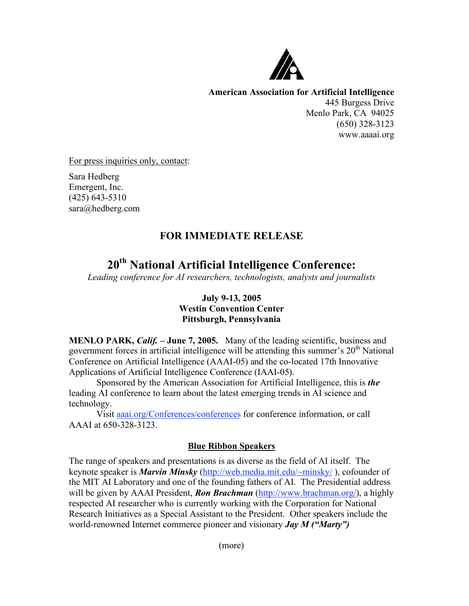

**American Association for Artificial Intelligence** 445 Burgess Drive Menlo Park, CA 94025 (650) 328-3123 www.aaaai.org

For press inquiries only, contact:

Sara Hedberg Emergent, Inc. (425) 643-5310 sara@hedberg.com

## **FOR IMMEDIATE RELEASE**

# **20th National Artificial Intelligence Conference:**

*Leading conference for AI researchers, technologists, analysts and journalists*

### **July 9-13, 2005 Westin Convention Center Pittsburgh, Pennsylvania**

**MENLO PARK,** *Calif.* **– June 7, 2005.** Many of the leading scientific, business and government forces in artificial intelligence will be attending this summer's  $20<sup>th</sup>$  National Conference on Artificial Intelligence (AAAI-05) and the co-located 17th Innovative Applications of Artificial Intelligence Conference (IAAI-05).

Sponsored by the American Association for Artificial Intelligence, this is *the* leading AI conference to learn about the latest emerging trends in AI science and technology.

Visit aaai.org/Conferences/conferences for conference information, or call AAAI at 650-328-3123.

### **Blue Ribbon Speakers**

The range of speakers and presentations is as diverse as the field of AI itself. The keynote speaker is *Marvin Minsky* (http://web.media.mit.edu/~minsky/ ), cofounder of the MIT AI Laboratory and one of the founding fathers of AI. The Presidential address will be given by AAAI President, *Ron Brachman* (http://www.brachman.org/), a highly respected AI researcher who is currently working with the Corporation for National Research Initiatives as a Special Assistant to the President. Other speakers include the world-renowned Internet commerce pioneer and visionary *Jay M ("Marty")*